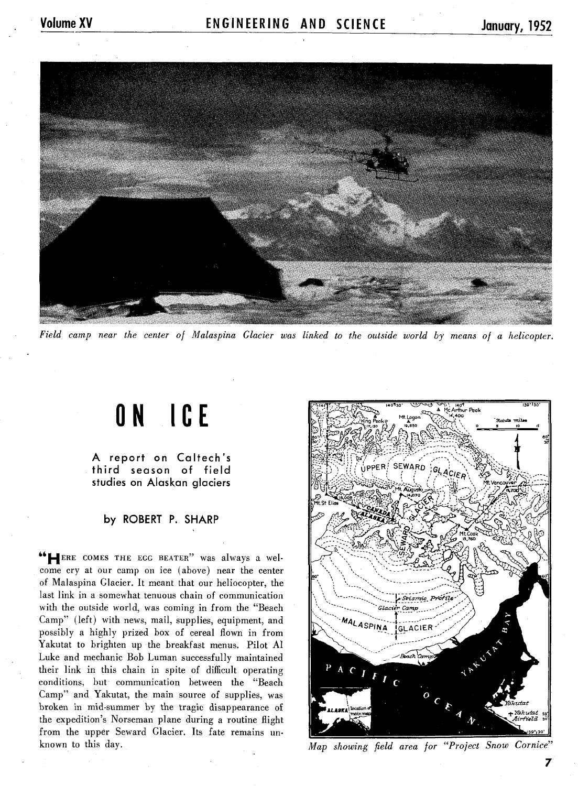

*Field camp near the center of Malaspina Glacier was linked to the outside world by means of a helicopter.* 

## **ON ICE**

A report on Caltech's third season of field studies on Alaskan glaciers

## by ROBERT P. SHARP

"HERE COMES THE **EGG** BEATER" was always a welcome cry at our camp on ice (above) near the center of Malaspina Glacier. It meant that our heliocopter, the last link in a somewhat tenuous chain of communication with the outside world, was coming in from the "Beach Camp" (left) with news, mail, supplies, equipment, and possibly a highly prized box of cereal flown in from Yakutat to brighten up the breakfast menus. Pilot A1 Luke and mechanic Bob Luman successfully maintained their link in this chain in spite of difficult operating conditions, but communication between the "Beach Camp" and Yakutat, the main source of supplies, was broken in mid-summer by the tragic disappearance of the expedition's Norseman plane during a routine flight from the upper Seward Glacier. Its fate remains un-



known to this day. **Map showing field area for "Project Snow Cornice"** *Map showing field area for "Project Snow Cornice"*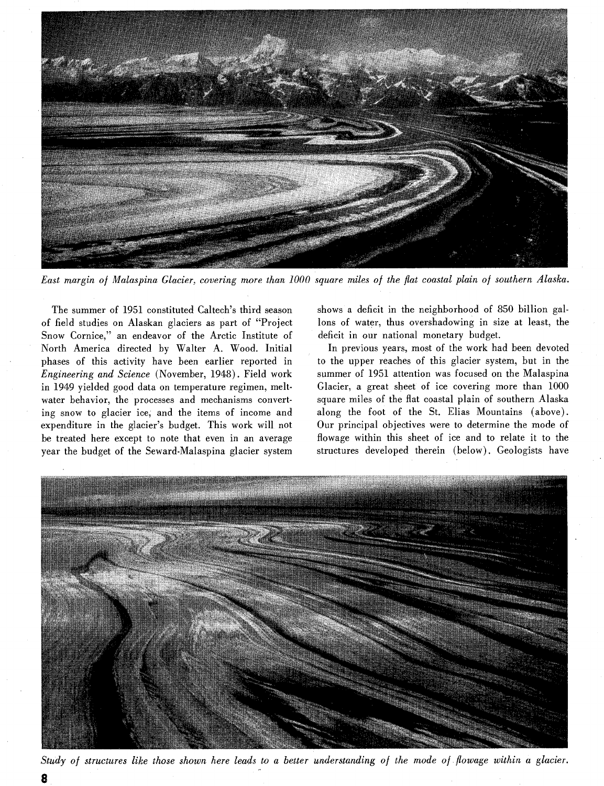

*East margin of Malaspina Glacier, covering more than 1000 square miles of the flat coastal plain of southern Alaska.* 

The summer of 1951 constituted Caltech's third season of field studies on Alaskan glaciers as part of "Project Snow Cornice,'' an endeavor of the Arctic Institute of North America directed by Walter A, Wood. Initial phases of this activity have been earlier reported in *Engineering and Science* (November, 1948). Field work in 1949 yielded good data on temperature regimen, meltwater behavior, the processes and mechanisms converting snow to glacier ice, and the items of income and expenditure in the glacier's budget. This work will not be treated here except to note that even in an average year the budget of the Seward-Malaspina glacier system

shows a deficit in the neighborhood of 850 billion gallons of water, thus overshadowing in size at least, the deficit in our national monetary budget.

In previous years, most of the work had been devoted to the upper reaches of this glacier system, but in the summer of 1951 attention was focused on the Malaspina Glacier, a great sheet of ice covering more than 1000 square miles of the flat coastal plain of southern Alaska along the foot of the St. Elias Mountains (above). Our principal objectives were to determine the mode of flowage within this sheet of ice and to relate it to the structures developed therein (below). Ceologists have



*Study of structures like those shown here leads to a better understanding of the mode of flowage within a glacier.*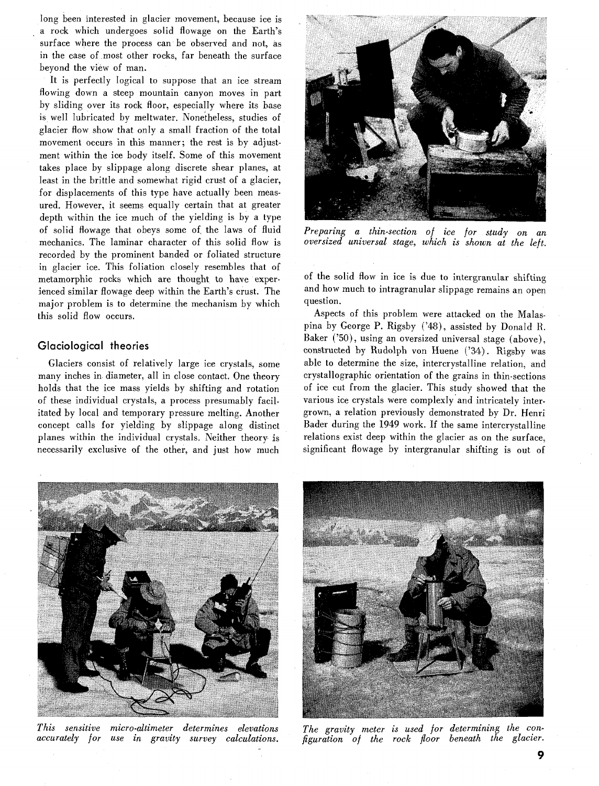long been interested in glacier movement, because ice is a rock which undergoes solid flowage on the Earth's surface where the process can be observed and not, as in the case of most other rocks, far beneath the surface beyond the view of man.

It is perfectly logical to suppose that an ice stream flowing down a steep mountain canyon moves in part by sliding over its rock floor, especially where its base is well lubricated by meltwater. Nonetheless, studies of glacier flow show that only a small fraction of the total movement occurs in this manner; the rest is by adjustment within the ice body itself. Some of this movement takes place by slippage along discrete shear planes, at least in the brittle and somewhat rigid crust of a glacier, for displacements of this type have actually been measured. However, it seems equally certain that at greater depth within the ice much of the yielding is by a type of solid flowage that obeys some of the laws of fluid mechanics. The laminar character of this solid flow is recorded by the prominent banded or foliated structure in glacier ice. This foliation closely resembles that of metamorphic rocks which are thought to have experienced similar flowage deep within the Earth's crust. The major problem is to determine the mechanism by which this solid flow occurs.

## **Glaciological theories**

Glaciers consist of relatively large ice crystals, some many inches in diameter, all in close contact. One theory holds that the ice mass yields by shifting and rotation of these individual crystals, a process presumably facilitated by local and temporary pressure melting. Another concept calls for yielding by slippage along distinct planes within the individual crystals. Neither theory is necessarily exclusive of the other, and just how much



*Preparing a thin-section of ice for study on an oversized universal stage, which is shown at the left.* 

of the solid flow in ice is due to intergranular shifting and how much to intragranular slippage remains an open question.

Aspects of this problem were attacked on the Malaspina by George P. Rigsby ('448), assisted by Donald **K.**  Baker ('50), using an oversized universal stage (above), constructed by Rudolph von Huene **('34).** Rigsby was able to determine the size, intercrystalline relation, and crystallographic orientation of the grains in thin-sections of ice cut from the glacier. This study showed that the various ice crystals were complexly and intricately intergrown, a relation previously demonstrated by Dr. Henri Bader during the 1949 work. If the same intercrystalline relations exist deep within the glacier as on the surface, significant flowage by intergranular shifting is out of



*This sensitive micro-altimeter determines elevations accurately for use in gravity survey calculations.* 



*The gravity meter is used for determining the configuration of the rock floor beneath the glacier.*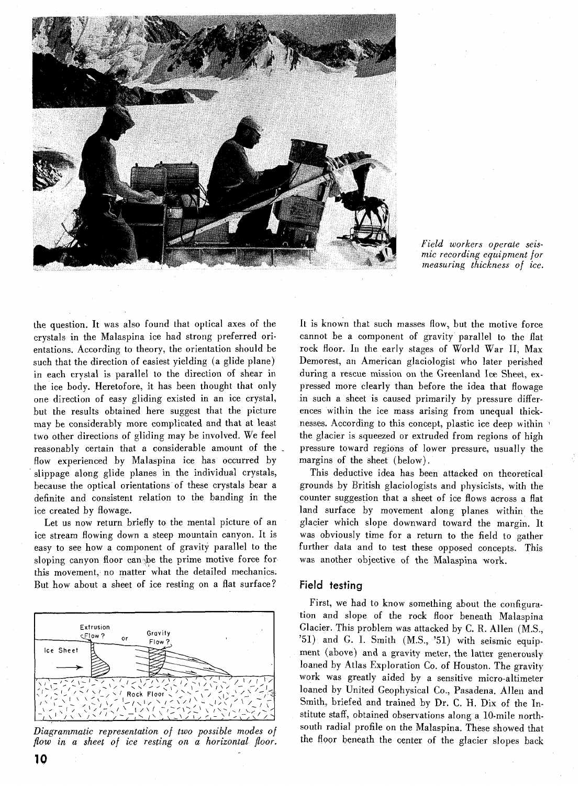

*Field workers operate xismic recording equipmen for ~neasuring thickness oj ice.* 

the question. It was also found that optical axes of the crystals in the Malaspina ice had strong preferred orientations. According to theory, the orientation should be such that the direction of easiest yielding (a glide plane) in each crystal is parallel to the direction of shear in the ice body. Heretofore, it has been thought that only one direction of easy gliding existed in an ice crystal, but the results obtained here suggest that the picture may be considerably more complicated and that at least two other directions of gliding may be involved. We feel reasonably certain that a considerable amount of the flow experienced by Malaspina ice has occurred by slippage along glide planes in the individual crystals, because the optical orientations of these crystals bear a definite and consistent relation to the banding in the ice created by flowage.

Let us now return briefly to the mental picture of an ice stream flowing down a steep mountain canyon. It is easy to see how a component of gravity parallel to the sloping canyon floor can the prime motive force for this movement, no matter what the detailed mechanics. But how about a sheet of ice resting on a flat surface?



*Diagrammatic representation of two possible modes of*  flow in a sheet of ice resting on a horizontal floor.

It is known that such masses flow, but the motive force cannot be a component of gravity parallel to the flat rock floor. In the early stages of World War 11, Max Demorest, an American glaciologist who later perished during a rescue mission on the Greenland Ice Sheet, expressed more clearly than before the idea that flowage in such a sheet is caused primarily by pressure differences within the ice mass arising from unequal thicknesses. According to this concept, plastic ice deep within the glacier is squeezed or extruded from regions of high pressure toward regions of lower pressure, usually the margins of the sheet (below).

This deductive idea has been attacked on theoretical grounds by British glaciologists and physicists, with the counter suggestion that a sheet of ice flows across a flat land surface by movement along planes within the glacier which slope downward toward the margin. It was obviously time for a return to the field to gather further data and to test these opposed concepts. This was another objective of the Malaspina work.

## **Field testing**

First, we had to know something about the configuration and slope of the rock floor beneath Malaspind Glacier. This problem was attacked by C. R. Allen (M.S., '51) and G. I. Smith (M.S., '51) with seismic equipment (above) and a gravity meter, the latter generously loaned by Atlas Exploration Co. of Houston. The gravity work was greatly aided by a sensitive micro-altimeter loaned by United Geophysical Co., Pasadena. Allen and Smith, briefed and trained by Dr. C. H. Dix of the Institute staff, obtained observations along a 10-mile northsouth radial profile on the Malaspina. These showed that the floor beneath the center of the glacier slopes back